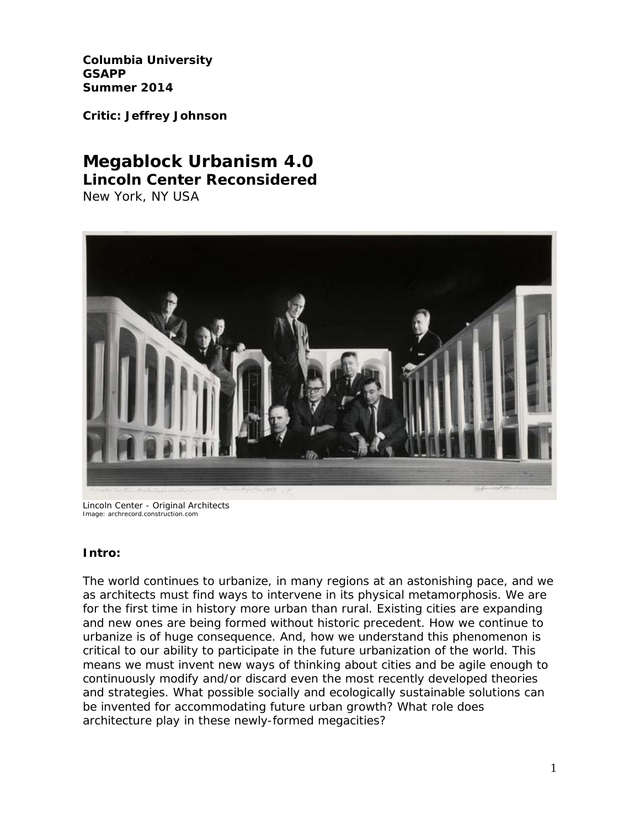**Columbia University GSAPP Summer 2014**

**Critic: Jeffrey Johnson**

# **Megablock Urbanism 4.0 Lincoln Center Reconsidered**

New York, NY USA



Lincoln Center - Original Architects Image: archrecord.construction.com

### **Intro:**

The world continues to urbanize, in many regions at an astonishing pace, and we as architects must find ways to intervene in its physical metamorphosis. We are for the first time in history more urban than rural. Existing cities are expanding and new ones are being formed without historic precedent. How we continue to urbanize is of huge consequence. And, how we understand this phenomenon is critical to our ability to participate in the future urbanization of the world. This means we must invent new ways of thinking about cities and be agile enough to continuously modify and/or discard even the most recently developed theories and strategies. What possible socially and ecologically sustainable solutions can be invented for accommodating future urban growth? What role does architecture play in these newly-formed megacities?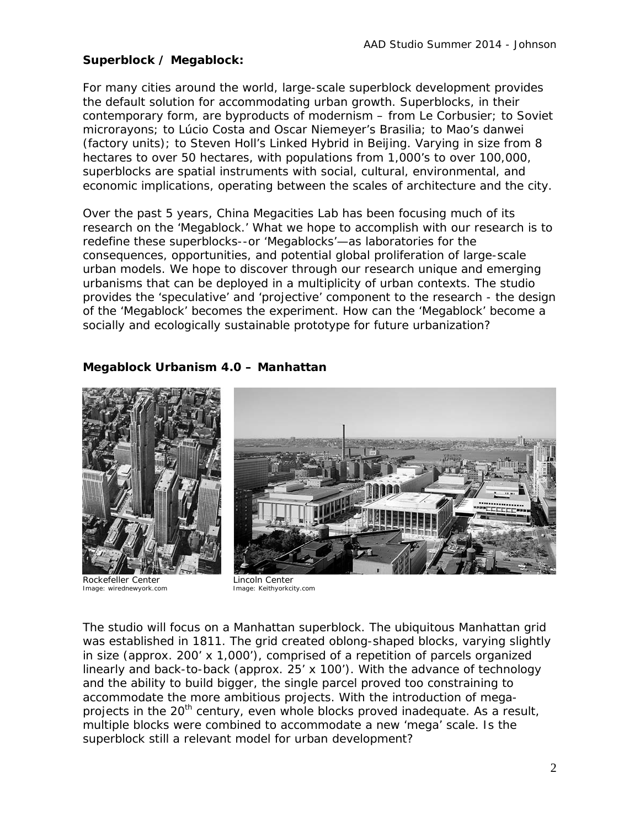### **Superblock / Megablock:**

For many cities around the world, large-scale superblock development provides the default solution for accommodating urban growth. Superblocks, in their contemporary form, are byproducts of modernism – from Le Corbusier; to Soviet *microrayons;* to Lúcio Costa and Oscar Niemeyer's Brasilia; to Mao's *danwei* (factory units); to Steven Holl's Linked Hybrid in Beijing. Varying in size from 8 hectares to over 50 hectares, with populations from 1,000's to over 100,000, superblocks are spatial instruments with social, cultural, environmental, and economic implications, operating between the scales of architecture and the city.

Over the past 5 years, China Megacities Lab has been focusing much of its research on the 'Megablock.' What we hope to accomplish with our research is to redefine these superblocks--or 'Megablocks'—as laboratories for the consequences, opportunities, and potential global proliferation of large-scale urban models. We hope to discover through our research unique and emerging urbanisms that can be deployed in a multiplicity of urban contexts. The studio provides the 'speculative' and 'projective' component to the research - the design of the 'Megablock' becomes the experiment. How can the 'Megablock' become a socially and ecologically sustainable prototype for future urbanization?

## **Megablock Urbanism 4.0 – Manhattan**



Rockefeller Center<br>
Image: wirednewyork.com<br>
Image: Keithyorkcity.com Image: wirednewyork.com



The studio will focus on a Manhattan superblock. The ubiquitous Manhattan grid was established in 1811. The grid created oblong-shaped blocks, varying slightly in size (approx. 200' x 1,000'), comprised of a repetition of parcels organized linearly and back-to-back (approx. 25' x 100'). With the advance of technology and the ability to build bigger, the single parcel proved too constraining to accommodate the more ambitious projects. With the introduction of megaprojects in the 20<sup>th</sup> century, even whole blocks proved inadequate. As a result, multiple blocks were combined to accommodate a new 'mega' scale. Is the superblock still a relevant model for urban development?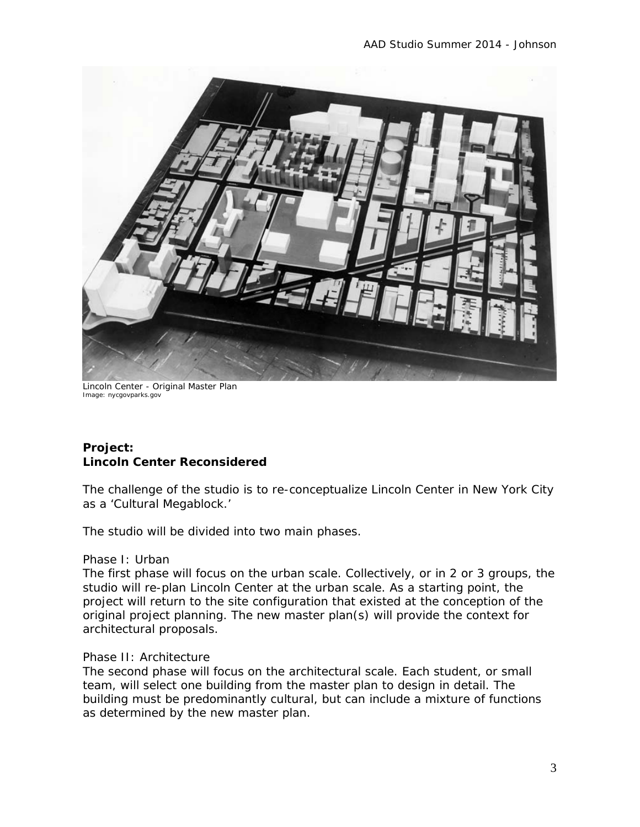

Lincoln Center - Original Master Plan Image: nycgovparks.gov

### **Project: Lincoln Center Reconsidered**

The challenge of the studio is to re-conceptualize Lincoln Center in New York City as a 'Cultural Megablock.'

The studio will be divided into two main phases.

#### Phase I: Urban

The first phase will focus on the urban scale. Collectively, or in 2 or 3 groups, the studio will re-plan Lincoln Center at the urban scale. As a starting point, the project will return to the site configuration that existed at the conception of the original project planning. The new master plan(s) will provide the context for architectural proposals.

### Phase II: Architecture

The second phase will focus on the architectural scale. Each student, or small team, will select one building from the master plan to design in detail. The building must be predominantly cultural, but can include a mixture of functions as determined by the new master plan.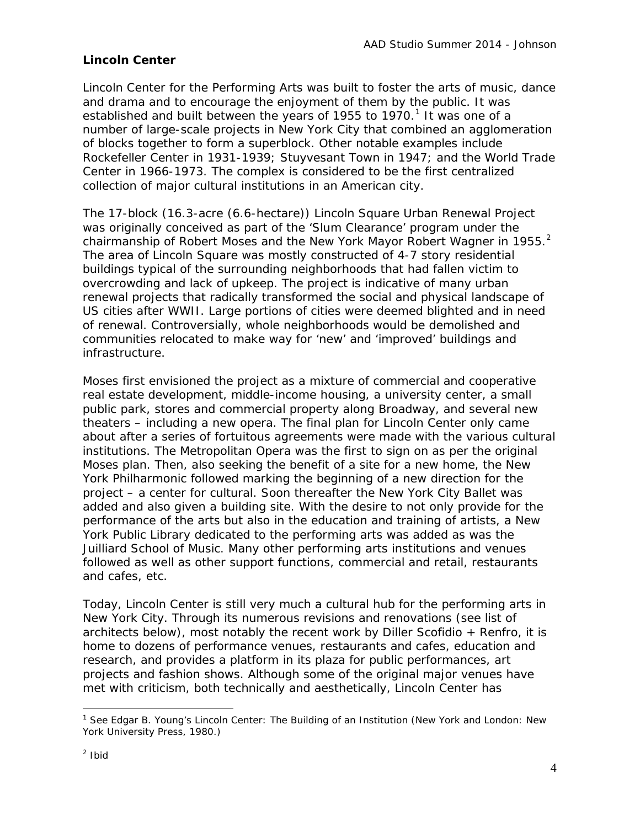# **Lincoln Center**

Lincoln Center for the Performing Arts was built to foster the arts of music, dance and drama and to encourage the enjoyment of them by the public. It was established and built between the years of [1](#page-3-0)955 to 1970.<sup>1</sup> It was one of a number of large-scale projects in New York City that combined an agglomeration of blocks together to form a superblock. Other notable examples include Rockefeller Center in 1931-1939; Stuyvesant Town in 1947; and the World Trade Center in 1966-1973. The complex is considered to be the first centralized collection of major cultural institutions in an American city.

The 17-block (16.3-acre (6.6-hectare)) Lincoln Square Urban Renewal Project was originally conceived as part of the 'Slum Clearance' program under the chairmanship of Robert Moses and the New York Mayor Robert Wagner in 1955. $^2$  $^2$ The area of Lincoln Square was mostly constructed of 4-7 story residential buildings typical of the surrounding neighborhoods that had fallen victim to overcrowding and lack of upkeep. The project is indicative of many urban renewal projects that radically transformed the social and physical landscape of US cities after WWII. Large portions of cities were deemed blighted and in need of renewal. Controversially, whole neighborhoods would be demolished and communities relocated to make way for 'new' and 'improved' buildings and infrastructure.

Moses first envisioned the project as a mixture of commercial and cooperative real estate development, middle-income housing, a university center, a small public park, stores and commercial property along Broadway, and several new theaters – including a new opera. The final plan for Lincoln Center only came about after a series of fortuitous agreements were made with the various cultural institutions. The Metropolitan Opera was the first to sign on as per the original Moses plan. Then, also seeking the benefit of a site for a new home, the New York Philharmonic followed marking the beginning of a new direction for the project – a center for cultural. Soon thereafter the New York City Ballet was added and also given a building site. With the desire to not only provide for the performance of the arts but also in the education and training of artists, a New York Public Library dedicated to the performing arts was added as was the Juilliard School of Music. Many other performing arts institutions and venues followed as well as other support functions, commercial and retail, restaurants and cafes, etc.

Today, Lincoln Center is still very much a cultural hub for the performing arts in New York City. Through its numerous revisions and renovations (see list of architects below), most notably the recent work by Diller Scofidio + Renfro, it is home to dozens of performance venues, restaurants and cafes, education and research, and provides a platform in its plaza for public performances, art projects and fashion shows. Although some of the original major venues have met with criticism, both technically and aesthetically, Lincoln Center has

<span id="page-3-1"></span><span id="page-3-0"></span> $\overline{a}$ <sup>1</sup> See Edgar B. Young's Lincoln Center: The Building of an Institution (New York and London: New York University Press, 1980.)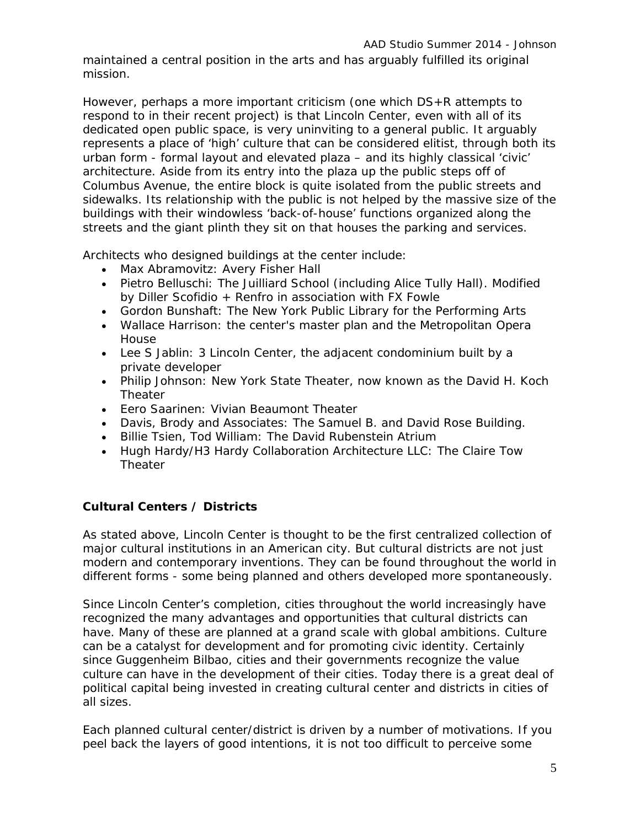maintained a central position in the arts and has arguably fulfilled its original mission.

However, perhaps a more important criticism (one which DS+R attempts to respond to in their recent project) is that Lincoln Center, even with all of its dedicated open public space, is very uninviting to a general public. It arguably represents a place of 'high' culture that can be considered elitist, through both its urban form - formal layout and elevated plaza – and its highly classical 'civic' architecture. Aside from its entry into the plaza up the public steps off of Columbus Avenue, the entire block is quite isolated from the public streets and sidewalks. Its relationship with the public is not helped by the massive size of the buildings with their windowless 'back-of-house' functions organized along the streets and the giant plinth they sit on that houses the parking and services.

Architects who designed buildings at the center include:

- [Max Abramovitz:](http://en.wikipedia.org/wiki/Max_Abramovitz) Avery Fisher Hall
- [Pietro Belluschi:](http://en.wikipedia.org/wiki/Pietro_Belluschi) The Juilliard School (including Alice Tully Hall). Modified by Diller Scofidio + Renfro in association with FX Fowle
- [Gordon Bunshaft:](http://en.wikipedia.org/wiki/Gordon_Bunshaft) The New York Public Library for the Performing Arts
- [Wallace Harrison:](http://en.wikipedia.org/wiki/Wallace_Harrison) the center's master plan and the Metropolitan Opera House
- [Lee S Jablin:](http://en.wikipedia.org/wiki/Lee_Jablin) 3 Lincoln Center, the adjacent condominium built by a private developer
- [Philip Johnson:](http://en.wikipedia.org/wiki/Philip_Johnson) New York State Theater, now known as the David H. Koch Theater
- [Eero Saarinen:](http://en.wikipedia.org/wiki/Eero_Saarinen) Vivian Beaumont Theater
- [Davis, Brody and Associates:](http://en.wikipedia.org/wiki/Davis_Brody_Bond_Aedas) The Samuel B. and David Rose Building.
- Billie Tsien, Tod William: The David Rubenstein Atrium
- [Hugh Hardy/](http://en.wikipedia.org/wiki/Hugh_Hardy)H3 Hardy Collaboration Architecture LLC: The Claire Tow Theater

# **Cultural Centers / Districts**

As stated above, Lincoln Center is thought to be the first centralized collection of major cultural institutions in an American city. But cultural districts are not just modern and contemporary inventions. They can be found throughout the world in different forms - some being planned and others developed more spontaneously.

Since Lincoln Center's completion, cities throughout the world increasingly have recognized the many advantages and opportunities that cultural districts can have. Many of these are planned at a grand scale with global ambitions. Culture can be a catalyst for development and for promoting civic identity. Certainly since Guggenheim Bilbao, cities and their governments recognize the value culture can have in the development of their cities. Today there is a great deal of political capital being invested in creating cultural center and districts in cities of all sizes.

Each planned cultural center/district is driven by a number of motivations. If you peel back the layers of good intentions, it is not too difficult to perceive some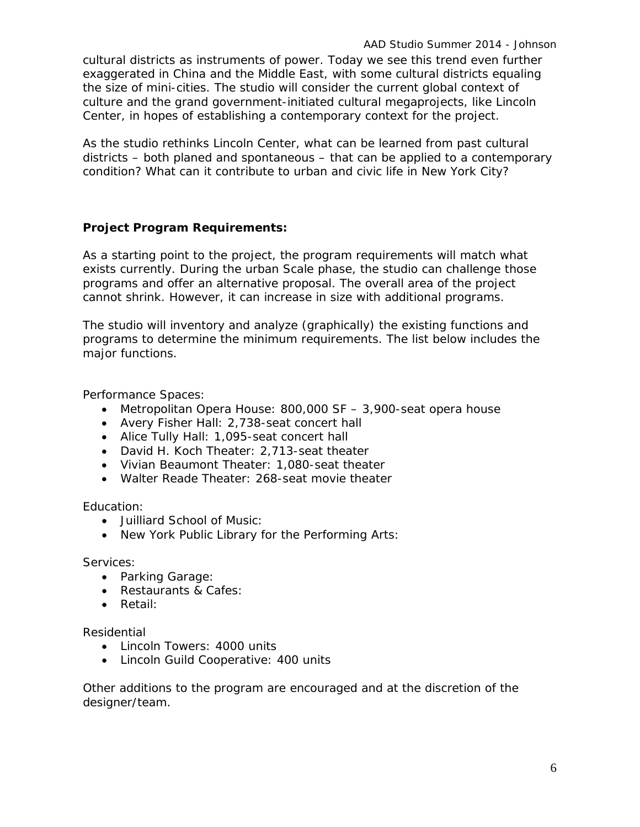cultural districts as instruments of power. Today we see this trend even further exaggerated in China and the Middle East, with some cultural districts equaling the size of mini-cities. The studio will consider the current global context of culture and the grand government-initiated cultural megaprojects, like Lincoln Center, in hopes of establishing a contemporary context for the project.

As the studio rethinks Lincoln Center, what can be learned from past cultural districts – both planed and spontaneous – that can be applied to a contemporary condition? What can it contribute to urban and civic life in New York City?

### **Project Program Requirements:**

As a starting point to the project, the program requirements will match what exists currently. During the urban Scale phase, the studio can challenge those programs and offer an alternative proposal. The overall area of the project cannot shrink. However, it can increase in size with additional programs.

The studio will inventory and analyze (graphically) the existing functions and programs to determine the minimum requirements. The list below includes the major functions.

Performance Spaces:

- Metropolitan Opera House: 800,000 SF 3,900-seat opera house
- Avery Fisher Hall: 2,738-seat concert hall
- Alice Tully Hall: 1,095-seat concert hall
- David H. Koch Theater: 2,713-seat theater
- Vivian Beaumont Theater: 1,080-seat theater
- Walter Reade Theater: 268-seat movie theater

Education:

- Juilliard School of Music:
- New York Public Library for the Performing Arts:

Services:

- Parking Garage:
- Restaurants & Cafes:
- Retail:

Residential

- Lincoln Towers: 4000 units
- Lincoln Guild Cooperative: 400 units

Other additions to the program are encouraged and at the discretion of the designer/team.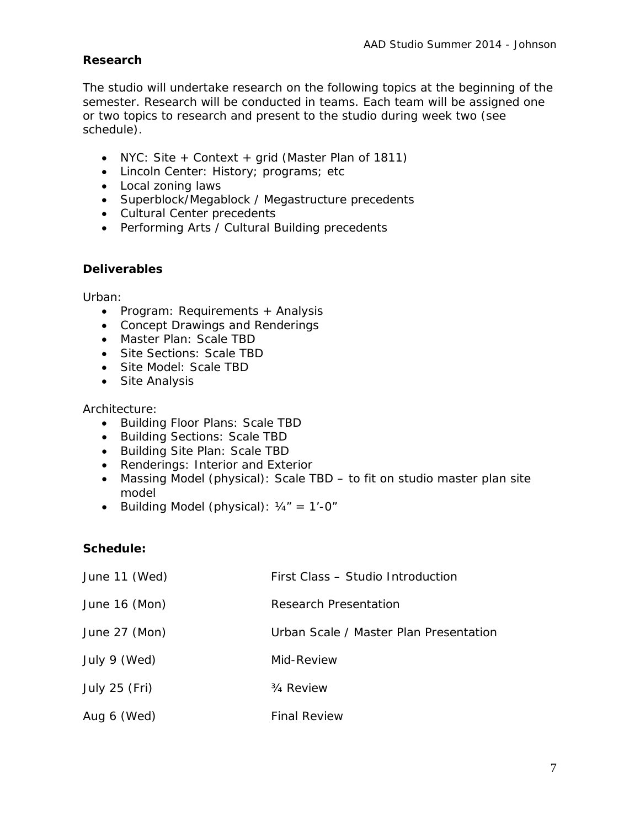### **Research**

The studio will undertake research on the following topics at the beginning of the semester. Research will be conducted in teams. Each team will be assigned one or two topics to research and present to the studio during week two (see schedule).

- NYC: Site + Context + grid (Master Plan of 1811)
- Lincoln Center: History; programs; etc
- Local zoning laws
- Superblock/Megablock / Megastructure precedents
- Cultural Center precedents
- Performing Arts / Cultural Building precedents

### **Deliverables**

Urban:

- Program: Requirements + Analysis
- Concept Drawings and Renderings
- Master Plan: Scale TBD
- Site Sections: Scale TBD
- Site Model: Scale TBD
- Site Analysis

### Architecture:

- Building Floor Plans: Scale TBD
- Building Sections: Scale TBD
- Building Site Plan: Scale TBD
- Renderings: Interior and Exterior
- Massing Model (physical): Scale TBD to fit on studio master plan site model
- Building Model (physical):  $1/4" = 1'-0"$

### **Schedule:**

| June 11 (Wed) | First Class - Studio Introduction      |
|---------------|----------------------------------------|
| June 16 (Mon) | Research Presentation                  |
| June 27 (Mon) | Urban Scale / Master Plan Presentation |
| July 9 (Wed)  | Mid-Review                             |
| July 25 (Fri) | <sup>3</sup> / <sub>4</sub> Review     |
| Aug 6 (Wed)   | <b>Final Review</b>                    |